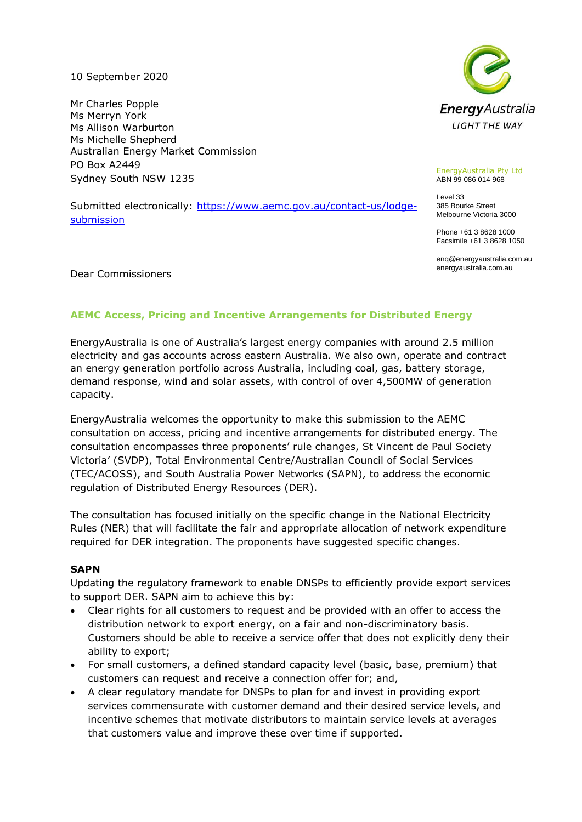10 September 2020

Mr Charles Popple Ms Merryn York Ms Allison Warburton Ms Michelle Shepherd Australian Energy Market Commission PO Box A2449 Sydney South NSW 1235

Submitted electronically: [https://www.aemc.gov.au/contact-us/lodge](https://www.aemc.gov.au/contact-us/lodge-submission)[submission](https://www.aemc.gov.au/contact-us/lodge-submission)



EnergyAustralia Pty Ltd ABN 99 086 014 968

Level 33 385 Bourke Street Melbourne Victoria 3000

Phone +61 3 8628 1000 Facsimile +61 3 8628 1050

enq@energyaustralia.com.au energyaustralia.com.au

Dear Commissioners

# **AEMC Access, Pricing and Incentive Arrangements for Distributed Energy**

EnergyAustralia is one of Australia's largest energy companies with around 2.5 million electricity and gas accounts across eastern Australia. We also own, operate and contract an energy generation portfolio across Australia, including coal, gas, battery storage, demand response, wind and solar assets, with control of over 4,500MW of generation capacity.

EnergyAustralia welcomes the opportunity to make this submission to the AEMC consultation on access, pricing and incentive arrangements for distributed energy. The consultation encompasses three proponents' rule changes, St Vincent de Paul Society Victoria' (SVDP), Total Environmental Centre/Australian Council of Social Services (TEC/ACOSS), and South Australia Power Networks (SAPN), to address the economic regulation of Distributed Energy Resources (DER).

The consultation has focused initially on the specific change in the National Electricity Rules (NER) that will facilitate the fair and appropriate allocation of network expenditure required for DER integration. The proponents have suggested specific changes.

### **SAPN**

Updating the regulatory framework to enable DNSPs to efficiently provide export services to support DER. SAPN aim to achieve this by:

- Clear rights for all customers to request and be provided with an offer to access the distribution network to export energy, on a fair and non-discriminatory basis. Customers should be able to receive a service offer that does not explicitly deny their ability to export;
- For small customers, a defined standard capacity level (basic, base, premium) that customers can request and receive a connection offer for; and,
- A clear regulatory mandate for DNSPs to plan for and invest in providing export services commensurate with customer demand and their desired service levels, and incentive schemes that motivate distributors to maintain service levels at averages that customers value and improve these over time if supported.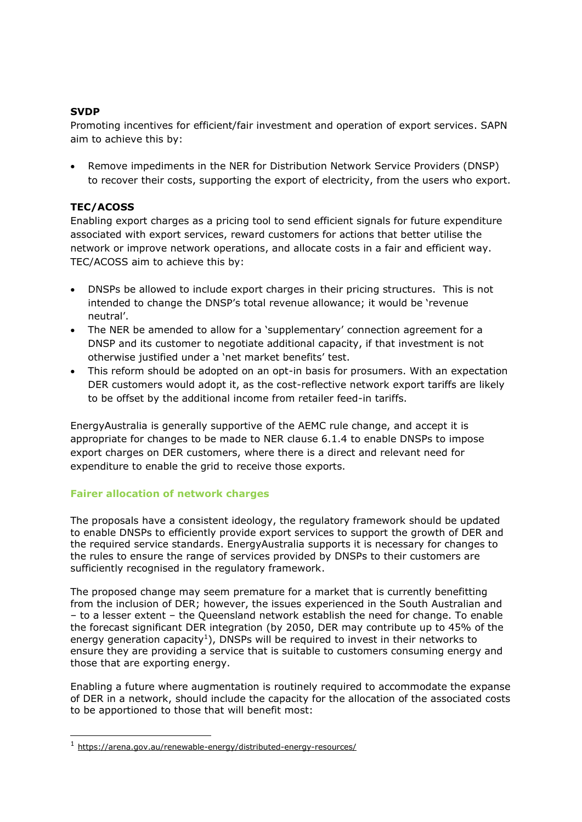## **SVDP**

Promoting incentives for efficient/fair investment and operation of export services. SAPN aim to achieve this by:

• Remove impediments in the NER for Distribution Network Service Providers (DNSP) to recover their costs, supporting the export of electricity, from the users who export.

## **TEC/ACOSS**

Enabling export charges as a pricing tool to send efficient signals for future expenditure associated with export services, reward customers for actions that better utilise the network or improve network operations, and allocate costs in a fair and efficient way. TEC/ACOSS aim to achieve this by:

- DNSPs be allowed to include export charges in their pricing structures. This is not intended to change the DNSP's total revenue allowance; it would be 'revenue neutral'.
- The NER be amended to allow for a 'supplementary' connection agreement for a DNSP and its customer to negotiate additional capacity, if that investment is not otherwise justified under a 'net market benefits' test.
- This reform should be adopted on an opt-in basis for prosumers. With an expectation DER customers would adopt it, as the cost-reflective network export tariffs are likely to be offset by the additional income from retailer feed-in tariffs.

EnergyAustralia is generally supportive of the AEMC rule change, and accept it is appropriate for changes to be made to NER clause 6.1.4 to enable DNSPs to impose export charges on DER customers, where there is a direct and relevant need for expenditure to enable the grid to receive those exports.

## **Fairer allocation of network charges**

The proposals have a consistent ideology, the regulatory framework should be updated to enable DNSPs to efficiently provide export services to support the growth of DER and the required service standards. EnergyAustralia supports it is necessary for changes to the rules to ensure the range of services provided by DNSPs to their customers are sufficiently recognised in the regulatory framework.

The proposed change may seem premature for a market that is currently benefitting from the inclusion of DER; however, the issues experienced in the South Australian and – to a lesser extent – the Queensland network establish the need for change. To enable the forecast significant DER integration (by 2050, DER may contribute up to 45% of the energy generation capacity<sup>1</sup>), DNSPs will be required to invest in their networks to ensure they are providing a service that is suitable to customers consuming energy and those that are exporting energy.

Enabling a future where augmentation is routinely required to accommodate the expanse of DER in a network, should include the capacity for the allocation of the associated costs to be apportioned to those that will benefit most:

<sup>1</sup> <https://arena.gov.au/renewable-energy/distributed-energy-resources/>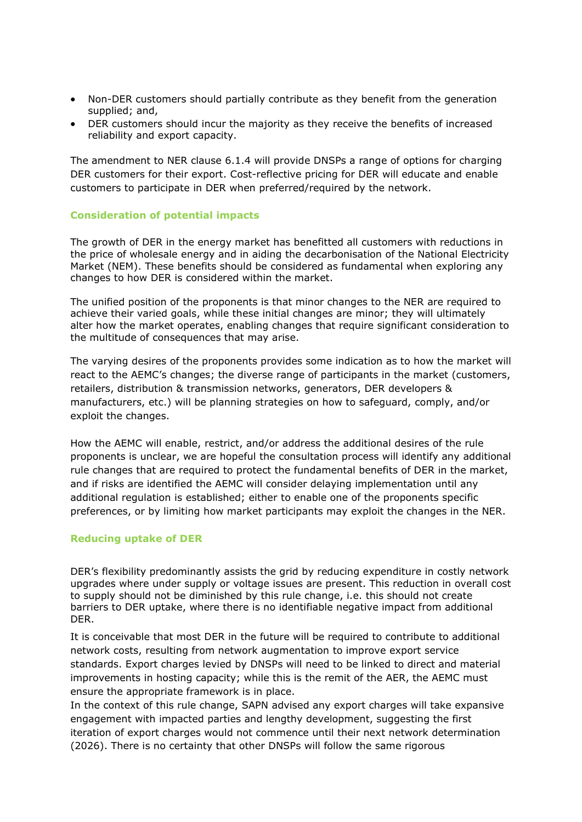- Non-DER customers should partially contribute as they benefit from the generation supplied; and,
- DER customers should incur the majority as they receive the benefits of increased reliability and export capacity.

The amendment to NER clause 6.1.4 will provide DNSPs a range of options for charging DER customers for their export. Cost-reflective pricing for DER will educate and enable customers to participate in DER when preferred/required by the network.

### **Consideration of potential impacts**

The growth of DER in the energy market has benefitted all customers with reductions in the price of wholesale energy and in aiding the decarbonisation of the National Electricity Market (NEM). These benefits should be considered as fundamental when exploring any changes to how DER is considered within the market.

The unified position of the proponents is that minor changes to the NER are required to achieve their varied goals, while these initial changes are minor; they will ultimately alter how the market operates, enabling changes that require significant consideration to the multitude of consequences that may arise.

The varying desires of the proponents provides some indication as to how the market will react to the AEMC's changes; the diverse range of participants in the market (customers, retailers, distribution & transmission networks, generators, DER developers & manufacturers, etc.) will be planning strategies on how to safeguard, comply, and/or exploit the changes.

How the AEMC will enable, restrict, and/or address the additional desires of the rule proponents is unclear, we are hopeful the consultation process will identify any additional rule changes that are required to protect the fundamental benefits of DER in the market, and if risks are identified the AEMC will consider delaying implementation until any additional regulation is established; either to enable one of the proponents specific preferences, or by limiting how market participants may exploit the changes in the NER.

### **Reducing uptake of DER**

DER's flexibility predominantly assists the grid by reducing expenditure in costly network upgrades where under supply or voltage issues are present. This reduction in overall cost to supply should not be diminished by this rule change, i.e. this should not create barriers to DER uptake, where there is no identifiable negative impact from additional DER.

It is conceivable that most DER in the future will be required to contribute to additional network costs, resulting from network augmentation to improve export service standards. Export charges levied by DNSPs will need to be linked to direct and material improvements in hosting capacity; while this is the remit of the AER, the AEMC must ensure the appropriate framework is in place.

In the context of this rule change, SAPN advised any export charges will take expansive engagement with impacted parties and lengthy development, suggesting the first iteration of export charges would not commence until their next network determination (2026). There is no certainty that other DNSPs will follow the same rigorous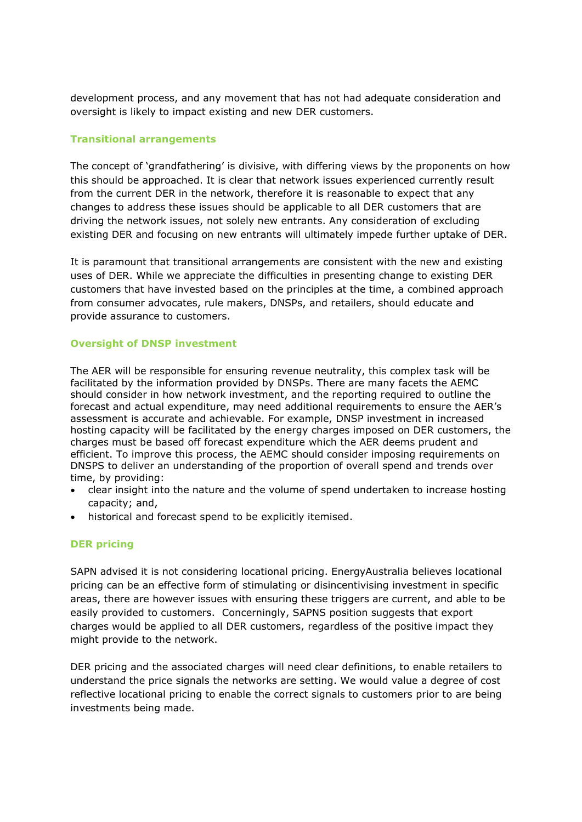development process, and any movement that has not had adequate consideration and oversight is likely to impact existing and new DER customers.

### **Transitional arrangements**

The concept of 'grandfathering' is divisive, with differing views by the proponents on how this should be approached. It is clear that network issues experienced currently result from the current DER in the network, therefore it is reasonable to expect that any changes to address these issues should be applicable to all DER customers that are driving the network issues, not solely new entrants. Any consideration of excluding existing DER and focusing on new entrants will ultimately impede further uptake of DER.

It is paramount that transitional arrangements are consistent with the new and existing uses of DER. While we appreciate the difficulties in presenting change to existing DER customers that have invested based on the principles at the time, a combined approach from consumer advocates, rule makers, DNSPs, and retailers, should educate and provide assurance to customers.

### **Oversight of DNSP investment**

The AER will be responsible for ensuring revenue neutrality, this complex task will be facilitated by the information provided by DNSPs. There are many facets the AEMC should consider in how network investment, and the reporting required to outline the forecast and actual expenditure, may need additional requirements to ensure the AER's assessment is accurate and achievable. For example, DNSP investment in increased hosting capacity will be facilitated by the energy charges imposed on DER customers, the charges must be based off forecast expenditure which the AER deems prudent and efficient. To improve this process, the AEMC should consider imposing requirements on DNSPS to deliver an understanding of the proportion of overall spend and trends over time, by providing:

- clear insight into the nature and the volume of spend undertaken to increase hosting capacity; and,
- historical and forecast spend to be explicitly itemised.

## **DER pricing**

SAPN advised it is not considering locational pricing. EnergyAustralia believes locational pricing can be an effective form of stimulating or disincentivising investment in specific areas, there are however issues with ensuring these triggers are current, and able to be easily provided to customers. Concerningly, SAPNS position suggests that export charges would be applied to all DER customers, regardless of the positive impact they might provide to the network.

DER pricing and the associated charges will need clear definitions, to enable retailers to understand the price signals the networks are setting. We would value a degree of cost reflective locational pricing to enable the correct signals to customers prior to are being investments being made.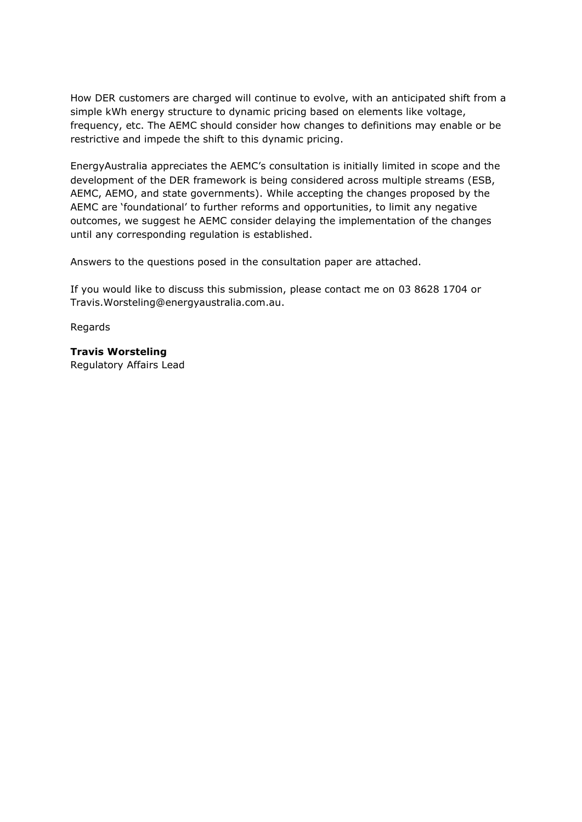How DER customers are charged will continue to evolve, with an anticipated shift from a simple kWh energy structure to dynamic pricing based on elements like voltage, frequency, etc. The AEMC should consider how changes to definitions may enable or be restrictive and impede the shift to this dynamic pricing.

EnergyAustralia appreciates the AEMC's consultation is initially limited in scope and the development of the DER framework is being considered across multiple streams (ESB, AEMC, AEMO, and state governments). While accepting the changes proposed by the AEMC are 'foundational' to further reforms and opportunities, to limit any negative outcomes, we suggest he AEMC consider delaying the implementation of the changes until any corresponding regulation is established.

Answers to the questions posed in the consultation paper are attached.

If you would like to discuss this submission, please contact me on 03 8628 1704 or Travis.Worsteling@energyaustralia.com.au.

Regards

# **Travis Worsteling**

Regulatory Affairs Lead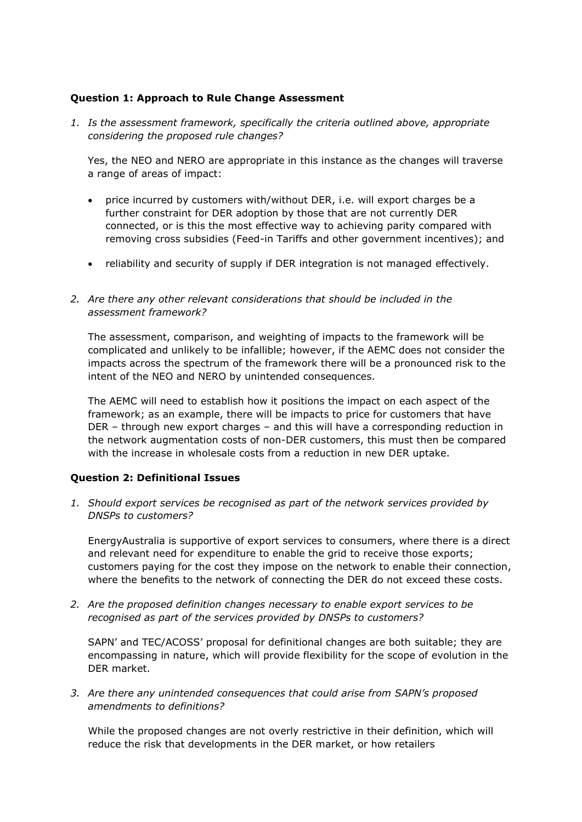## **Question 1: Approach to Rule Change Assessment**

*1. Is the assessment framework, specifically the criteria outlined above, appropriate considering the proposed rule changes?*

Yes, the NEO and NERO are appropriate in this instance as the changes will traverse a range of areas of impact:

- price incurred by customers with/without DER, i.e. will export charges be a further constraint for DER adoption by those that are not currently DER connected, or is this the most effective way to achieving parity compared with removing cross subsidies (Feed-in Tariffs and other government incentives); and
- reliability and security of supply if DER integration is not managed effectively.

## *2. Are there any other relevant considerations that should be included in the assessment framework?*

The assessment, comparison, and weighting of impacts to the framework will be complicated and unlikely to be infallible; however, if the AEMC does not consider the impacts across the spectrum of the framework there will be a pronounced risk to the intent of the NEO and NERO by unintended consequences.

The AEMC will need to establish how it positions the impact on each aspect of the framework; as an example, there will be impacts to price for customers that have DER – through new export charges – and this will have a corresponding reduction in the network augmentation costs of non-DER customers, this must then be compared with the increase in wholesale costs from a reduction in new DER uptake.

## **Question 2: Definitional Issues**

*1. Should export services be recognised as part of the network services provided by DNSPs to customers?*

EnergyAustralia is supportive of export services to consumers, where there is a direct and relevant need for expenditure to enable the grid to receive those exports; customers paying for the cost they impose on the network to enable their connection, where the benefits to the network of connecting the DER do not exceed these costs.

*2. Are the proposed definition changes necessary to enable export services to be recognised as part of the services provided by DNSPs to customers?*

SAPN' and TEC/ACOSS' proposal for definitional changes are both suitable; they are encompassing in nature, which will provide flexibility for the scope of evolution in the DER market.

*3. Are there any unintended consequences that could arise from SAPN's proposed amendments to definitions?*

While the proposed changes are not overly restrictive in their definition, which will reduce the risk that developments in the DER market, or how retailers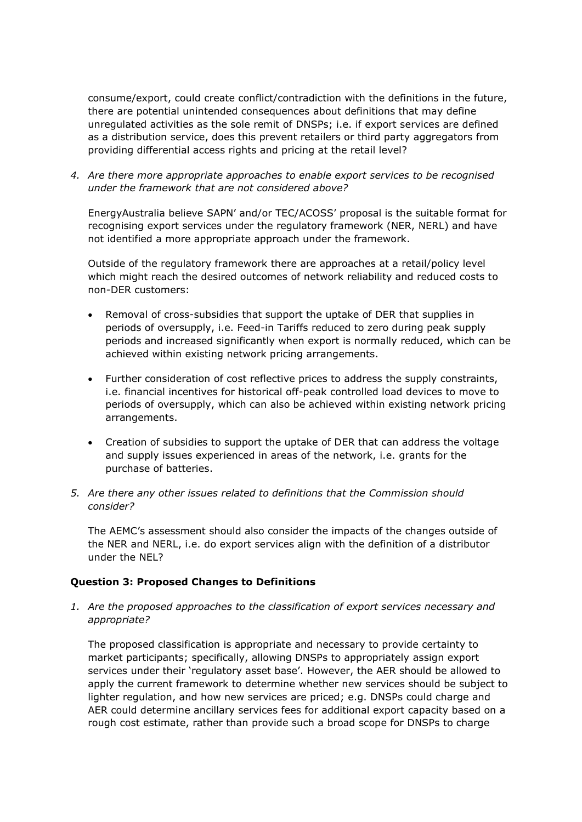consume/export, could create conflict/contradiction with the definitions in the future, there are potential unintended consequences about definitions that may define unregulated activities as the sole remit of DNSPs; i.e. if export services are defined as a distribution service, does this prevent retailers or third party aggregators from providing differential access rights and pricing at the retail level?

*4. Are there more appropriate approaches to enable export services to be recognised under the framework that are not considered above?*

EnergyAustralia believe SAPN' and/or TEC/ACOSS' proposal is the suitable format for recognising export services under the regulatory framework (NER, NERL) and have not identified a more appropriate approach under the framework.

Outside of the regulatory framework there are approaches at a retail/policy level which might reach the desired outcomes of network reliability and reduced costs to non-DER customers:

- Removal of cross-subsidies that support the uptake of DER that supplies in periods of oversupply, i.e. Feed-in Tariffs reduced to zero during peak supply periods and increased significantly when export is normally reduced, which can be achieved within existing network pricing arrangements.
- Further consideration of cost reflective prices to address the supply constraints, i.e. financial incentives for historical off-peak controlled load devices to move to periods of oversupply, which can also be achieved within existing network pricing arrangements.
- Creation of subsidies to support the uptake of DER that can address the voltage and supply issues experienced in areas of the network, i.e. grants for the purchase of batteries.
- *5. Are there any other issues related to definitions that the Commission should consider?*

The AEMC's assessment should also consider the impacts of the changes outside of the NER and NERL, i.e. do export services align with the definition of a distributor under the NEL?

### **Question 3: Proposed Changes to Definitions**

*1. Are the proposed approaches to the classification of export services necessary and appropriate?*

The proposed classification is appropriate and necessary to provide certainty to market participants; specifically, allowing DNSPs to appropriately assign export services under their 'regulatory asset base'. However, the AER should be allowed to apply the current framework to determine whether new services should be subject to lighter regulation, and how new services are priced; e.g. DNSPs could charge and AER could determine ancillary services fees for additional export capacity based on a rough cost estimate, rather than provide such a broad scope for DNSPs to charge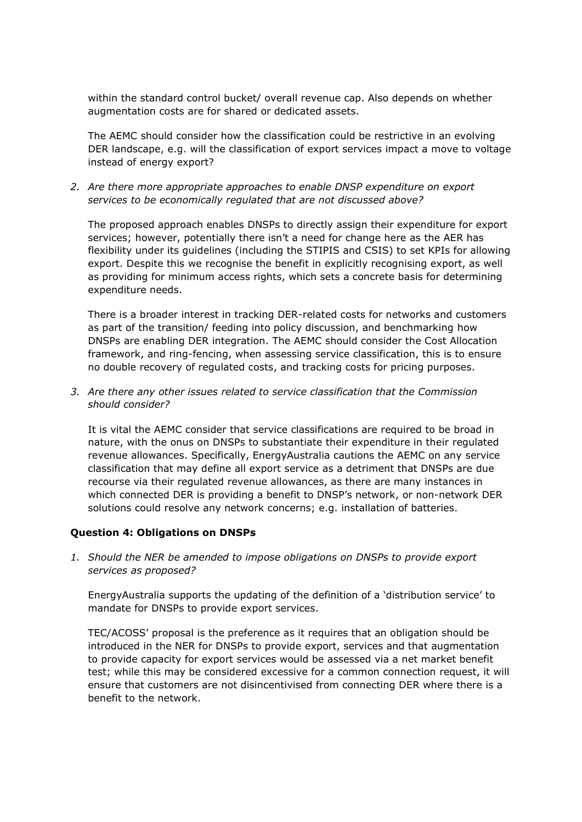within the standard control bucket/ overall revenue cap. Also depends on whether augmentation costs are for shared or dedicated assets.

The AEMC should consider how the classification could be restrictive in an evolving DER landscape, e.g. will the classification of export services impact a move to voltage instead of energy export?

*2. Are there more appropriate approaches to enable DNSP expenditure on export services to be economically regulated that are not discussed above?*

The proposed approach enables DNSPs to directly assign their expenditure for export services; however, potentially there isn't a need for change here as the AER has flexibility under its guidelines (including the STIPIS and CSIS) to set KPIs for allowing export. Despite this we recognise the benefit in explicitly recognising export, as well as providing for minimum access rights, which sets a concrete basis for determining expenditure needs.

There is a broader interest in tracking DER-related costs for networks and customers as part of the transition/ feeding into policy discussion, and benchmarking how DNSPs are enabling DER integration. The AEMC should consider the Cost Allocation framework, and ring-fencing, when assessing service classification, this is to ensure no double recovery of regulated costs, and tracking costs for pricing purposes.

*3. Are there any other issues related to service classification that the Commission should consider?*

It is vital the AEMC consider that service classifications are required to be broad in nature, with the onus on DNSPs to substantiate their expenditure in their regulated revenue allowances. Specifically, EnergyAustralia cautions the AEMC on any service classification that may define all export service as a detriment that DNSPs are due recourse via their regulated revenue allowances, as there are many instances in which connected DER is providing a benefit to DNSP's network, or non-network DER solutions could resolve any network concerns; e.g. installation of batteries.

### **Question 4: Obligations on DNSPs**

*1. Should the NER be amended to impose obligations on DNSPs to provide export services as proposed?*

EnergyAustralia supports the updating of the definition of a 'distribution service' to mandate for DNSPs to provide export services.

TEC/ACOSS' proposal is the preference as it requires that an obligation should be introduced in the NER for DNSPs to provide export, services and that augmentation to provide capacity for export services would be assessed via a net market benefit test; while this may be considered excessive for a common connection request, it will ensure that customers are not disincentivised from connecting DER where there is a benefit to the network.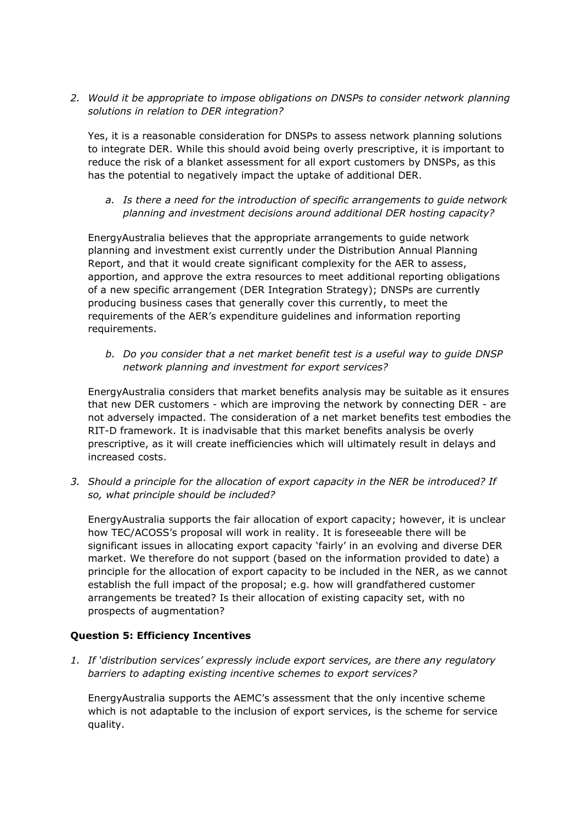*2. Would it be appropriate to impose obligations on DNSPs to consider network planning solutions in relation to DER integration?*

Yes, it is a reasonable consideration for DNSPs to assess network planning solutions to integrate DER. While this should avoid being overly prescriptive, it is important to reduce the risk of a blanket assessment for all export customers by DNSPs, as this has the potential to negatively impact the uptake of additional DER.

*a. Is there a need for the introduction of specific arrangements to guide network planning and investment decisions around additional DER hosting capacity?*

EnergyAustralia believes that the appropriate arrangements to guide network planning and investment exist currently under the Distribution Annual Planning Report, and that it would create significant complexity for the AER to assess, apportion, and approve the extra resources to meet additional reporting obligations of a new specific arrangement (DER Integration Strategy); DNSPs are currently producing business cases that generally cover this currently, to meet the requirements of the AER's expenditure guidelines and information reporting requirements.

*b. Do you consider that a net market benefit test is a useful way to guide DNSP network planning and investment for export services?*

EnergyAustralia considers that market benefits analysis may be suitable as it ensures that new DER customers - which are improving the network by connecting DER - are not adversely impacted. The consideration of a net market benefits test embodies the RIT-D framework. It is inadvisable that this market benefits analysis be overly prescriptive, as it will create inefficiencies which will ultimately result in delays and increased costs.

*3. Should a principle for the allocation of export capacity in the NER be introduced? If so, what principle should be included?*

EnergyAustralia supports the fair allocation of export capacity; however, it is unclear how TEC/ACOSS's proposal will work in reality. It is foreseeable there will be significant issues in allocating export capacity 'fairly' in an evolving and diverse DER market. We therefore do not support (based on the information provided to date) a principle for the allocation of export capacity to be included in the NER, as we cannot establish the full impact of the proposal; e.g. how will grandfathered customer arrangements be treated? Is their allocation of existing capacity set, with no prospects of augmentation?

## **Question 5: Efficiency Incentives**

*1. If 'distribution services' expressly include export services, are there any regulatory barriers to adapting existing incentive schemes to export services?*

EnergyAustralia supports the AEMC's assessment that the only incentive scheme which is not adaptable to the inclusion of export services, is the scheme for service quality.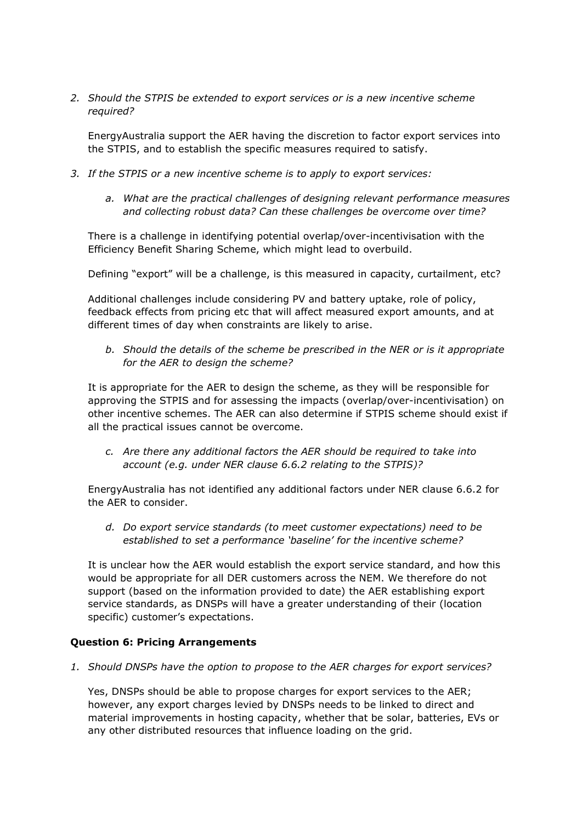*2. Should the STPIS be extended to export services or is a new incentive scheme required?*

EnergyAustralia support the AER having the discretion to factor export services into the STPIS, and to establish the specific measures required to satisfy.

- *3. If the STPIS or a new incentive scheme is to apply to export services:*
	- *a. What are the practical challenges of designing relevant performance measures and collecting robust data? Can these challenges be overcome over time?*

There is a challenge in identifying potential overlap/over-incentivisation with the Efficiency Benefit Sharing Scheme, which might lead to overbuild.

Defining "export" will be a challenge, is this measured in capacity, curtailment, etc?

Additional challenges include considering PV and battery uptake, role of policy, feedback effects from pricing etc that will affect measured export amounts, and at different times of day when constraints are likely to arise.

*b. Should the details of the scheme be prescribed in the NER or is it appropriate for the AER to design the scheme?*

It is appropriate for the AER to design the scheme, as they will be responsible for approving the STPIS and for assessing the impacts (overlap/over-incentivisation) on other incentive schemes. The AER can also determine if STPIS scheme should exist if all the practical issues cannot be overcome.

*c. Are there any additional factors the AER should be required to take into account (e.g. under NER clause 6.6.2 relating to the STPIS)?*

EnergyAustralia has not identified any additional factors under NER clause 6.6.2 for the AER to consider.

*d. Do export service standards (to meet customer expectations) need to be established to set a performance 'baseline' for the incentive scheme?*

It is unclear how the AER would establish the export service standard, and how this would be appropriate for all DER customers across the NEM. We therefore do not support (based on the information provided to date) the AER establishing export service standards, as DNSPs will have a greater understanding of their (location specific) customer's expectations.

### **Question 6: Pricing Arrangements**

*1. Should DNSPs have the option to propose to the AER charges for export services?*

Yes, DNSPs should be able to propose charges for export services to the AER; however, any export charges levied by DNSPs needs to be linked to direct and material improvements in hosting capacity, whether that be solar, batteries, EVs or any other distributed resources that influence loading on the grid.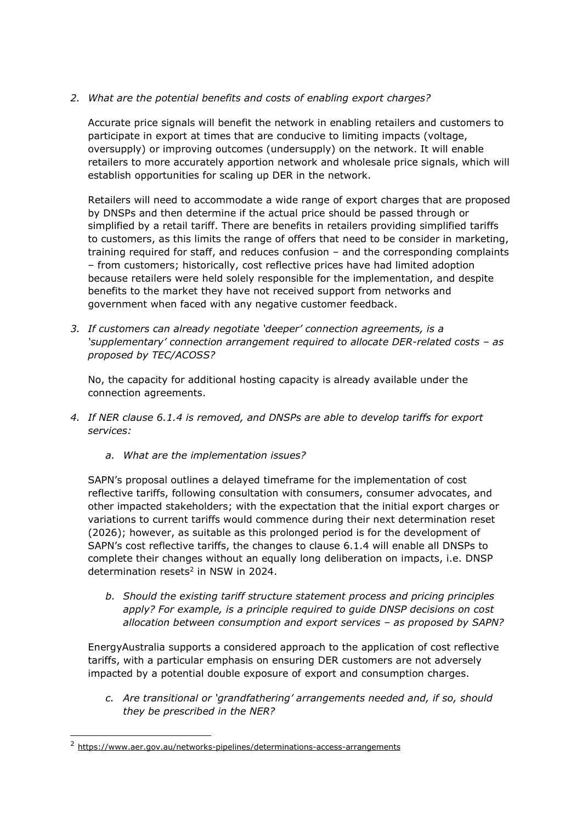# *2. What are the potential benefits and costs of enabling export charges?*

Accurate price signals will benefit the network in enabling retailers and customers to participate in export at times that are conducive to limiting impacts (voltage, oversupply) or improving outcomes (undersupply) on the network. It will enable retailers to more accurately apportion network and wholesale price signals, which will establish opportunities for scaling up DER in the network.

Retailers will need to accommodate a wide range of export charges that are proposed by DNSPs and then determine if the actual price should be passed through or simplified by a retail tariff. There are benefits in retailers providing simplified tariffs to customers, as this limits the range of offers that need to be consider in marketing, training required for staff, and reduces confusion – and the corresponding complaints – from customers; historically, cost reflective prices have had limited adoption because retailers were held solely responsible for the implementation, and despite benefits to the market they have not received support from networks and government when faced with any negative customer feedback.

*3. If customers can already negotiate 'deeper' connection agreements, is a 'supplementary' connection arrangement required to allocate DER-related costs – as proposed by TEC/ACOSS?*

No, the capacity for additional hosting capacity is already available under the connection agreements.

- *4. If NER clause 6.1.4 is removed, and DNSPs are able to develop tariffs for export services:*
	- *a. What are the implementation issues?*

SAPN's proposal outlines a delayed timeframe for the implementation of cost reflective tariffs, following consultation with consumers, consumer advocates, and other impacted stakeholders; with the expectation that the initial export charges or variations to current tariffs would commence during their next determination reset (2026); however, as suitable as this prolonged period is for the development of SAPN's cost reflective tariffs, the changes to clause 6.1.4 will enable all DNSPs to complete their changes without an equally long deliberation on impacts, i.e. DNSP determination resets 2 in NSW in 2024.

*b. Should the existing tariff structure statement process and pricing principles apply? For example, is a principle required to guide DNSP decisions on cost allocation between consumption and export services – as proposed by SAPN?*

EnergyAustralia supports a considered approach to the application of cost reflective tariffs, with a particular emphasis on ensuring DER customers are not adversely impacted by a potential double exposure of export and consumption charges.

*c. Are transitional or 'grandfathering' arrangements needed and, if so, should they be prescribed in the NER?*

<sup>2</sup> [https://www.aer.gov.au/networks-pipelines/determinations-access-arrangements](https://www.aer.gov.au/networks-pipelines/determinations-access-arrangements?f%5B0%5D=field_accc_aer_sector%3A4)